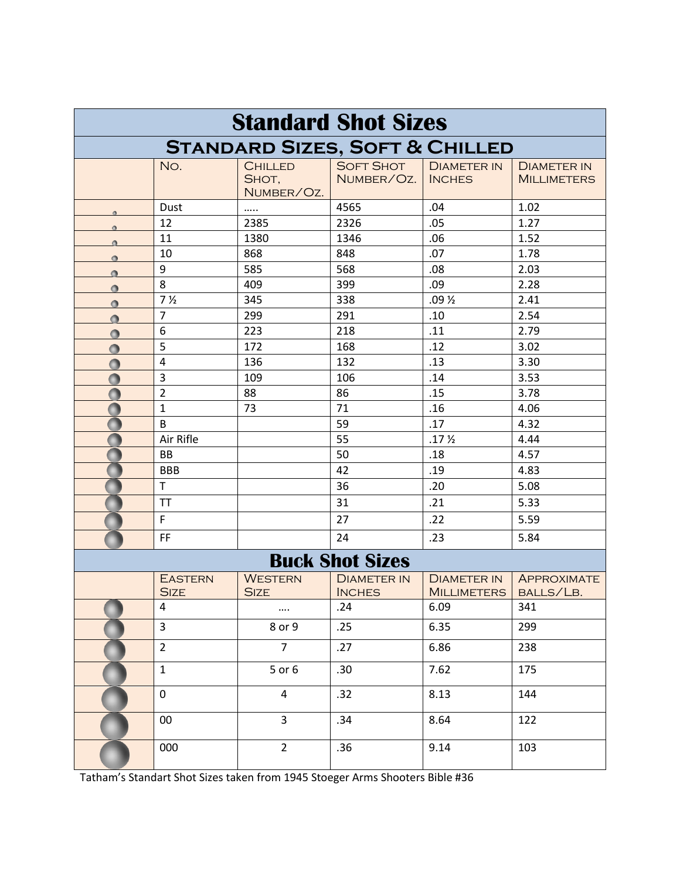| <b>Standard Shot Sizes</b>                |                               |                                       |                                     |                                          |                                          |  |  |  |
|-------------------------------------------|-------------------------------|---------------------------------------|-------------------------------------|------------------------------------------|------------------------------------------|--|--|--|
| <b>STANDARD SIZES, SOFT &amp; CHILLED</b> |                               |                                       |                                     |                                          |                                          |  |  |  |
|                                           | No.                           | <b>CHILLED</b><br>SHOT,<br>NUMBER/OZ. | <b>SOFT SHOT</b><br>NUMBER/OZ.      | <b>DIAMETER IN</b><br><b>INCHES</b>      | <b>DIAMETER IN</b><br><b>MILLIMETERS</b> |  |  |  |
|                                           | Dust                          |                                       | 4565                                | .04                                      | 1.02                                     |  |  |  |
| $\bullet$                                 | 12                            | 2385                                  | 2326                                | .05                                      | 1.27                                     |  |  |  |
| $\bullet$                                 | 11                            | 1380                                  | 1346                                | .06                                      | 1.52                                     |  |  |  |
| $\bullet$                                 | 10                            | 868                                   | 848                                 | .07                                      | 1.78                                     |  |  |  |
| $\bullet$                                 | 9                             | 585                                   | 568                                 | .08                                      | 2.03                                     |  |  |  |
| $\bullet$                                 | 8                             | 409                                   | 399                                 | .09                                      | 2.28                                     |  |  |  |
| $\bullet$                                 | 7 <sub>2</sub>                | 345                                   | 338                                 | $.09\%$                                  | 2.41                                     |  |  |  |
| Ō                                         | $\overline{7}$                | 299                                   | 291                                 | .10                                      | 2.54                                     |  |  |  |
| Ο                                         | 6                             | 223                                   | 218                                 | .11                                      | 2.79                                     |  |  |  |
| $\bullet$                                 | 5                             | 172                                   | 168                                 | .12                                      | 3.02                                     |  |  |  |
|                                           | $\overline{\mathbf{4}}$       | 136                                   | 132                                 | .13                                      | 3.30                                     |  |  |  |
| $\bullet$                                 | $\overline{3}$                | 109                                   | 106                                 | .14                                      | 3.53                                     |  |  |  |
| O                                         | $\overline{2}$                | 88                                    | 86                                  | .15                                      | 3.78                                     |  |  |  |
|                                           | $\mathbf 1$                   | 73                                    | 71                                  | .16                                      | 4.06                                     |  |  |  |
|                                           | B                             |                                       | 59                                  | .17                                      | 4.32                                     |  |  |  |
|                                           | Air Rifle                     |                                       | 55                                  | .17 <sub>2</sub>                         | 4.44                                     |  |  |  |
|                                           | <b>BB</b>                     |                                       | 50                                  | .18                                      | 4.57                                     |  |  |  |
|                                           | <b>BBB</b>                    |                                       | 42                                  | .19                                      | 4.83                                     |  |  |  |
|                                           | $\mathsf{T}$                  |                                       | 36                                  | .20                                      | 5.08                                     |  |  |  |
|                                           | <b>TT</b>                     |                                       | 31                                  | .21                                      | 5.33                                     |  |  |  |
|                                           | $\mathsf F$                   |                                       | 27                                  | .22                                      | 5.59                                     |  |  |  |
|                                           | FF                            |                                       | 24                                  | .23                                      | 5.84                                     |  |  |  |
| <b>Buck Shot Sizes</b>                    |                               |                                       |                                     |                                          |                                          |  |  |  |
|                                           | <b>EASTERN</b><br><b>SIZE</b> | <b>WESTERN</b><br><b>SIZE</b>         | <b>DIAMETER IN</b><br><b>INCHES</b> | <b>DIAMETER IN</b><br><b>MILLIMETERS</b> | <b>APPROXIMATE</b><br>BALLS/LB.          |  |  |  |
|                                           | $\overline{4}$                | $\cdots$                              | .24                                 | 6.09                                     | 341                                      |  |  |  |
|                                           | $\overline{3}$                | 8 or 9                                | .25                                 | 6.35                                     | 299                                      |  |  |  |
|                                           | $\overline{2}$                | $\overline{7}$                        | .27                                 | 6.86                                     | 238                                      |  |  |  |
|                                           | $\mathbf{1}$                  | 5 or 6                                | .30                                 | 7.62                                     | 175                                      |  |  |  |
|                                           | $\mathbf 0$                   | $\overline{4}$                        | .32                                 | 8.13                                     | 144                                      |  |  |  |
|                                           | $00\,$                        | $\overline{3}$                        | .34                                 | 8.64                                     | 122                                      |  |  |  |
|                                           | 000                           | $\overline{2}$                        | .36                                 | 9.14                                     | 103                                      |  |  |  |

Tatham's Standart Shot Sizes taken from 1945 Stoeger Arms Shooters Bible #36